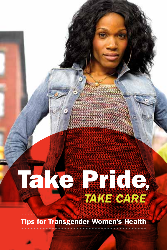# *TAKE CARE* Take Pride,

#### Tips for Transgender Women's Health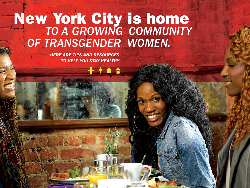## *TO A GROWING COMMUNITY OF TRANSGENDER WOMEN.* New York City is home

**+ + 1 5** 

*HERE ARE TIPS AND RESOURCES TO HELP YOU STAY HEALTHY*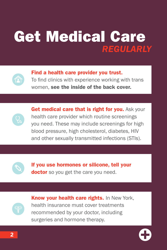### Get Medical Care *REGULARLY*



Find a health care provider you trust. To find clinics with experience working with trans

women, see the inside of the back cover.

Get medical care that is right for you. Ask your health care provider which routine screenings you need. These may include screenings for high blood pressure, high cholesterol, diabetes, HIV and other sexually transmitted infections (STIs).



If you use hormones or silicone, tell your **doctor** so you get the care you need.

**Know your health care rights. In New York,** health insurance must cover treatments recommended by your doctor, including surgeries and hormone therapy.

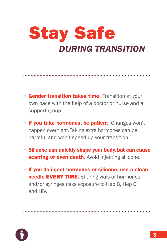### Stay Safe *DURING TRANSITION*

- **Gender transition takes time.** Transition at your own pace with the help of a doctor or nurse and a support group.
- If you take hormones, be patient. Changes won't happen overnight. Taking extra hormones can be harmful and won't speed up your transition.
- Silicone can quickly shape your body, but can cause scarring or even death. Avoid injecting silicone.
- If you do inject hormones or silicone, use a clean needle EVERY TIME. Sharing vials of hormones and/or syringes risks exposure to Hep B, Hep C and HIV.

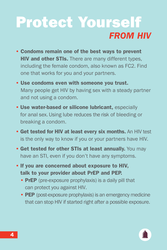### *FROM HIV* Protect Yourself

- Condoms remain one of the best ways to prevent **HIV and other STIs.** There are many different types, including the female condom, also known as FC2. Find one that works for you and your partners.
- Use condoms even with someone you trust. Many people get HIV by having sex with a steady partner and not using a condom.
- Use water-based or silicone lubricant, especially for anal sex. Using lube reduces the risk of bleeding or breaking a condom.
- Get tested for HIV at least every six months. An HIV test is the only way to know if you or your partners have HIV.
- Get tested for other STIs at least annually. You may have an STI, even if you don't have any symptoms.
- If you are concerned about exposure to HIV, talk to your provider about PrEP and PEP.
	- PrEP (pre-exposure prophylaxis) is a daily pill that can protect you against HIV.
	- PEP (post-exposure prophylaxis) is an emergency medicine that can stop HIV if started right after a possible exposure.

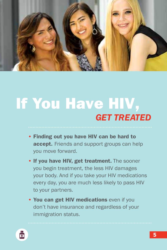

### If You Have HIV, *GET TREATED*

- Finding out you have HIV can be hard to accept. Friends and support groups can help you move forward.
- If you have HIV, get treatment. The sooner you begin treatment, the less HIV damages your body. And if you take your HIV medications every day, you are much less likely to pass HIV to your partners.
- You can get HIV medications even if you don't have insurance and regardless of your immigration status.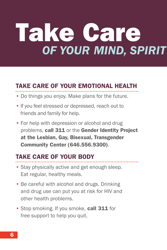# Take Care *OF YOUR MIND, SPIRIT*

#### TAKE CARE OF YOUR EMOTIONAL HEALTH

- Do things you enjoy. Make plans for the future.
- If you feel stressed or depressed, reach out to friends and family for help.
- For help with depression or alcohol and drug problems, call 311 or the Gender Identity Project at the Lesbian, Gay, Bisexual, Transgender Community Center (646.556.9300).

#### TAKE CARE OF YOUR BODY

- Stay physically active and get enough sleep. Eat regular, healthy meals.
- Be careful with alcohol and drugs. Drinking and drug use can put you at risk for HIV and other health problems.
- Stop smoking. If you smoke, call 311 for free support to help you quit.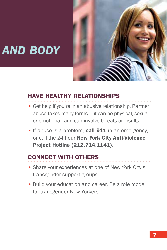

### **AND BODY**

#### HAVE HEALTHY RELATIONSHIPS

- Get help if you're in an abusive relationship. Partner abuse takes many forms — it can be physical, sexual or emotional, and can involve threats or insults.
- If abuse is a problem, call 911 in an emergency, or call the 24-hour New York City Anti-Violence Project Hotline (212.714.1141).

#### CONNECT WITH OTHERS

- Share your experiences at one of New York City's transgender support groups.
- Build your education and career. Be a role model for transgender New Yorkers.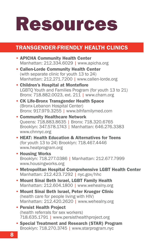# Resources

#### TRANSGENDER-FRIENDLY HEALTH CLINICS

- APICHA Community Health Center Manhattan: 212.334.6029 | www.apicha.org
- Callen-Lorde Community Health Center (with separate clinic for youth 13 to 24) Manhattan: 212.271.7200 | www.callen-lorde.org
- Children's Hospital at Montefiore LGBTQ Youth and Families Program (for youth 13 to 21) Bronx: 718.882.0023, ext. 211 | www.cham.org
- CK Life-Bronx Transgender Health Space (Bronx-Lebanon Hospital Center) Bronx: 917.979.3255 | www.blhfamilymed.com
- Community Healthcare Network Queens: 718.883.8635 | Bronx: 718.320.6765 Brooklyn: 347.578.1743 | Manhattan: 646.276.3383 www.chnnyc.org
- HEAT: Health Education & Alternatives for Teens (for youth 13 to 24) Brooklyn: 718.467.4446 www.heatprogram.org
- Housing Works Brooklyn: 718.277.0386 | Manhattan: 212.677.7999 www.housingworks.org
- Metropolitan Hospital Comprehensive LGBT Health Center Manhattan: 212.423.7292 | [nyc.gov/hhc](www.nyc.gov/hhc)
- Mount Sinai Beth Israel, LGBT Family Health Manhattan: 212.604.1800 | www.wehealny.org
- Mount Sinai Beth Israel, Peter Krueger Clinic (health care for people living with HIV) Manhattan: 212.420.2620 | www.wehealny.org
- Persist Health Project (health referrals for sex workers) 718.635.1791 | www.persisthealthproject.org
- Special Treatment and Research (STAR) Program Brooklyn: 718.270.3745 | www.starprogram.nyc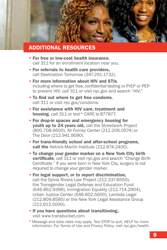

#### ADDITIONAL RESOURCES

- For free or low-cost health insurance, call 311 for an enrollment location near you.
- For referrals to health care providers, call Destination Tomorrow (347.291.1732).
- For more information about HIV and STIs, including where to get free, confidential testing or PrEP or PEP to prevent HIV, call 311 or vis[it nyc.gov a](www.nyc.gov)nd search "HIV."
- To find out where to get free condoms, call 311 or visit [nyc.gov/condoms.](www.nyc.gov/condoms)
- For assistance with HIV care, treatment and housing, call 311 or text\* CARE to 877877.
- For drop-in spaces and emergency housing for youth up to 24 years old, call the Streetwork Project (800.708.6600), Ali Forney Center (212.206.0574) or The Door (212.941.9090).
- For trans-friendly school and after-school programs, call the Hetrick-Martin Institute (212.674.2400).
- To change your gender marker on a New York City birth certificate, call 311 or visit [nyc.gov](www.nyc.gov) and search "Change Birth Certificate." If you were born in New York City, surgery is not required to change your gender marker.
- For legal support, or to report discrimination, call the Sylvia Rivera Law Project (212.337.8550), the Transgender Legal Defense and Education Fund (646.862.9396), Immigration Equality (212.714.2904), Urban Justice Center (646.602.5600), Lambda Legal (212.809.8585) or the New York Legal Assistance Group (212.613.5000).
- If you have questions about transitioning, visit www.transbucket.com.
- \* Message and data rates may apply. Text STOP to quit, HELP for more information. For Terms of Use and Privacy Policy, visit [nyc.gov/health.](www.nyc.gov/health)